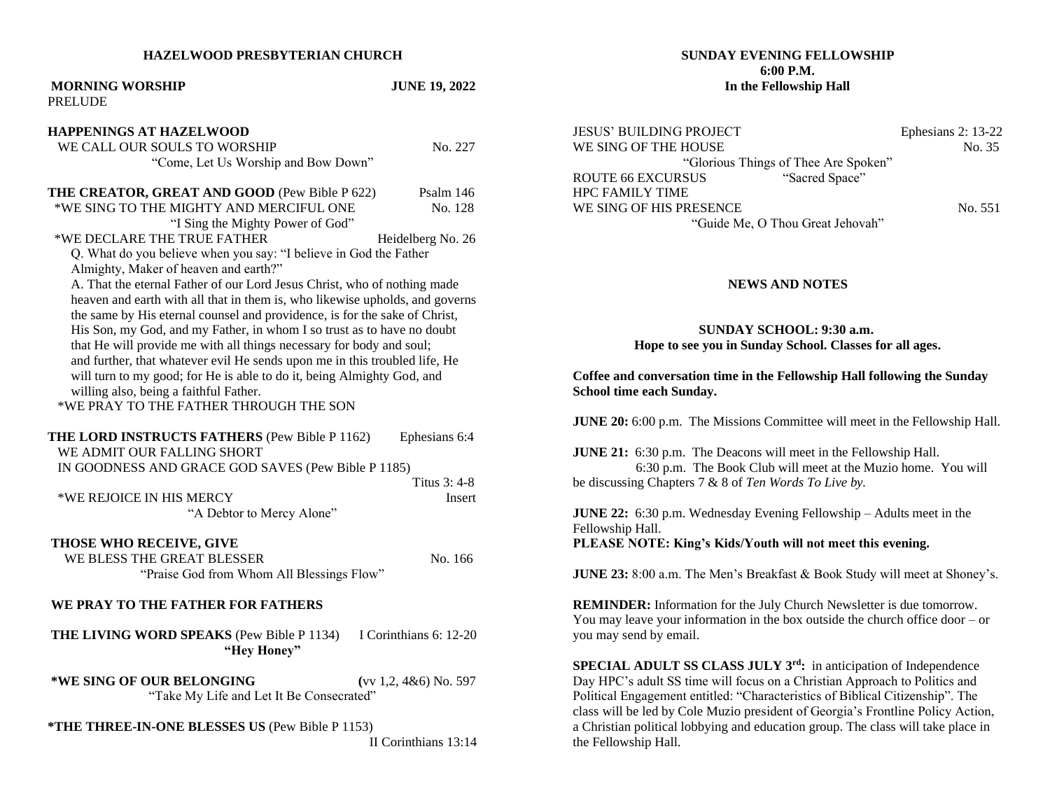#### **HAZELWOOD PRESBYTERIAN CHURCH**

# **MORNING WORSHIP JUNE 19, 2022** PRELUDE **HAPPENINGS AT HAZELWOOD WE CALL OUR SOULS TO WORSHIP No. 227** "Come, Let Us Worship and Bow Down" **THE CREATOR, GREAT AND GOOD** (Pew Bible P 622) Psalm 146 \*WE SING TO THE MIGHTY AND MERCIFUL ONE No. 128 "I Sing the Mighty Power of God" \*WE DECLARE THE TRUE FATHER Heidelberg No. 26 Q. What do you believe when you say: "I believe in God the Father Almighty, Maker of heaven and earth?" A. That the eternal Father of our Lord Jesus Christ, who of nothing made heaven and earth with all that in them is, who likewise upholds, and governs the same by His eternal counsel and providence, is for the sake of Christ, His Son, my God, and my Father, in whom I so trust as to have no doubt that He will provide me with all things necessary for body and soul; and further, that whatever evil He sends upon me in this troubled life, He will turn to my good; for He is able to do it, being Almighty God, and willing also, being a faithful Father. \*WE PRAY TO THE FATHER THROUGH THE SON **THE LORD INSTRUCTS FATHERS** (Pew Bible P 1162) Ephesians 6:4 WE ADMIT OUR FALLING SHORT IN GOODNESS AND GRACE GOD SAVES (Pew Bible P 1185) Titus 3: 4-8 \*WE REJOICE IN HIS MERCY Insert "A Debtor to Mercy Alone" **THOSE WHO RECEIVE, GIVE WE BLESS THE GREAT BLESSER** No. 166 "Praise God from Whom All Blessings Flow" **WE PRAY TO THE FATHER FOR FATHERS THE LIVING WORD SPEAKS** (Pew Bible P 1134) I Corinthians 6: 12-20 **"Hey Honey" \*WE SING OF OUR BELONGING (**vv 1,2, 4&6) No. 597 "Take My Life and Let It Be Consecrated" **\*THE THREE-IN-ONE BLESSES US** (Pew Bible P 1153) II Corinthians 13:14

### **SUNDAY EVENING FELLOWSHIP 6:00 P.M. In the Fellowship Hall**

JESUS' BUILDING PROJECT Ephesians 2: 13-22 WE SING OF THE HOUSE No. 35 "Glorious Things of Thee Are Spoken" ROUTE 66 EXCURSUS "Sacred Space" HPC FAMILY TIME WE SING OF HIS PRESENCE No. 551 "Guide Me, O Thou Great Jehovah"

### **NEWS AND NOTES**

 **SUNDAY SCHOOL: 9:30 a.m.**

**Hope to see you in Sunday School. Classes for all ages.**

**Coffee and conversation time in the Fellowship Hall following the Sunday School time each Sunday.**

**JUNE 20:** 6:00 p.m. The Missions Committee will meet in the Fellowship Hall.

**JUNE 21:** 6:30 p.m. The Deacons will meet in the Fellowship Hall. 6:30 p.m. The Book Club will meet at the Muzio home. You will be discussing Chapters 7 & 8 of *Ten Words To Live by.*

**JUNE 22:** 6:30 p.m. Wednesday Evening Fellowship – Adults meet in the Fellowship Hall.

**PLEASE NOTE: King's Kids/Youth will not meet this evening.**

**JUNE 23:** 8:00 a.m. The Men's Breakfast & Book Study will meet at Shoney's.

**REMINDER:** Information for the July Church Newsletter is due tomorrow. You may leave your information in the box outside the church office door – or you may send by email.

**SPECIAL ADULT SS CLASS JULY 3rd:** in anticipation of Independence Day HPC's adult SS time will focus on a Christian Approach to Politics and Political Engagement entitled: "Characteristics of Biblical Citizenship". The class will be led by Cole Muzio president of Georgia's Frontline Policy Action, a Christian political lobbying and education group. The class will take place in the Fellowship Hall.